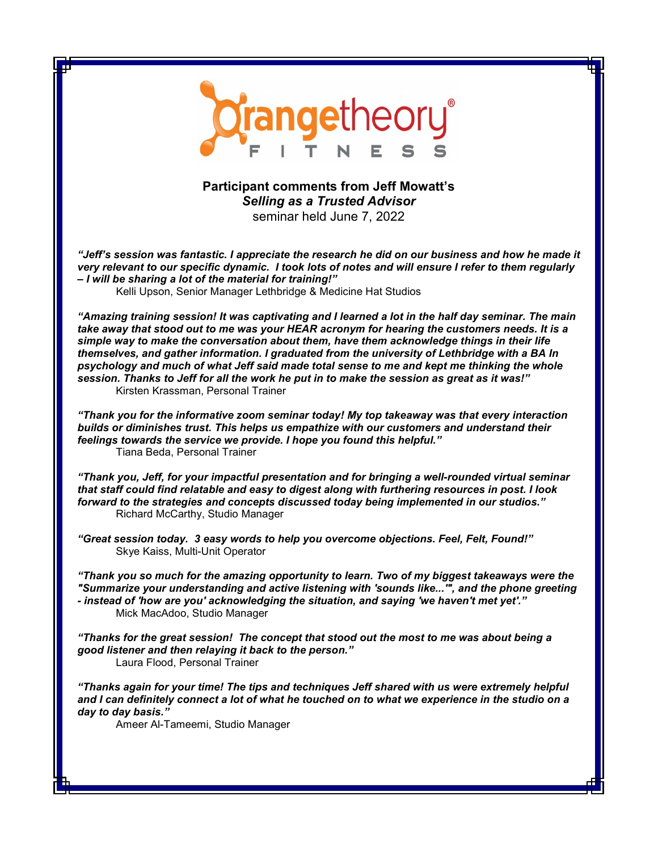

## **Participant comments from Jeff Mowatt's**  *Selling as a Trusted Advisor* seminar held June 7, 2022

*"Jeff's session was fantastic. I appreciate the research he did on our business and how he made it very relevant to our specific dynamic. I took lots of notes and will ensure I refer to them regularly – I will be sharing a lot of the material for training!"*

Kelli Upson, Senior Manager Lethbridge & Medicine Hat Studios

*"Amazing training session! It was captivating and I learned a lot in the half day seminar. The main take away that stood out to me was your HEAR acronym for hearing the customers needs. It is a simple way to make the conversation about them, have them acknowledge things in their life themselves, and gather information. I graduated from the university of Lethbridge with a BA In psychology and much of what Jeff said made total sense to me and kept me thinking the whole session. Thanks to Jeff for all the work he put in to make the session as great as it was!"* Kirsten Krassman, Personal Trainer

*"Thank you for the informative zoom seminar today! My top takeaway was that every interaction builds or diminishes trust. This helps us empathize with our customers and understand their feelings towards the service we provide. I hope you found this helpful."* Tiana Beda, Personal Trainer

*"Thank you, Jeff, for your impactful presentation and for bringing a well-rounded virtual seminar that staff could find relatable and easy to digest along with furthering resources in post. I look forward to the strategies and concepts discussed today being implemented in our studios."* Richard McCarthy, Studio Manager

*"Great session today. 3 easy words to help you overcome objections. Feel, Felt, Found!"* Skye Kaiss, Multi-Unit Operator

*"Thank you so much for the amazing opportunity to learn. Two of my biggest takeaways were the "Summarize your understanding and active listening with 'sounds like...'", and the phone greeting - instead of 'how are you' acknowledging the situation, and saying 'we haven't met yet'."* Mick MacAdoo, Studio Manager

*"Thanks for the great session! The concept that stood out the most to me was about being a good listener and then relaying it back to the person."* Laura Flood, Personal Trainer

*"Thanks again for your time! The tips and techniques Jeff shared with us were extremely helpful and I can definitely connect a lot of what he touched on to what we experience in the studio on a day to day basis."*

Ameer Al-Tameemi, Studio Manager